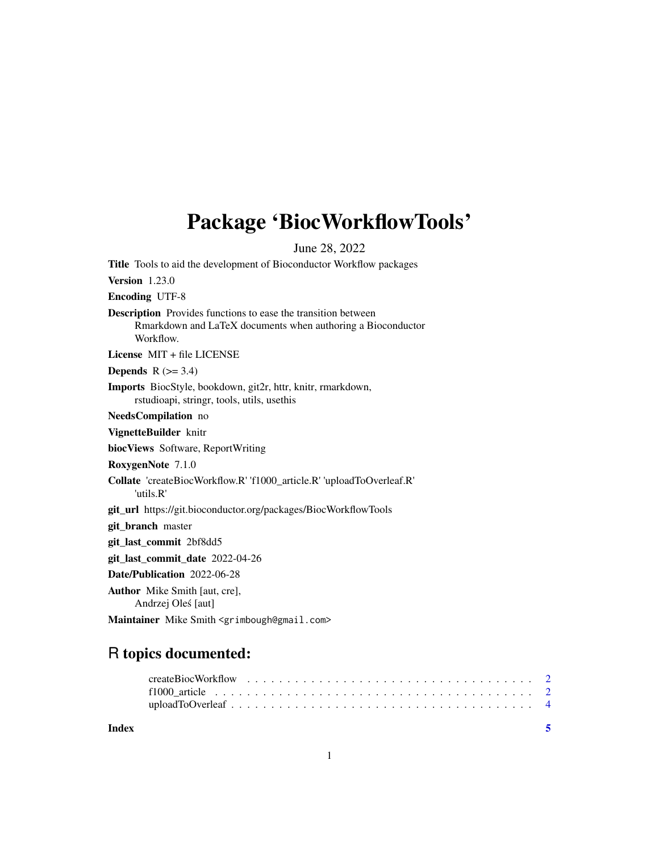## <span id="page-0-0"></span>Package 'BiocWorkflowTools'

June 28, 2022

Title Tools to aid the development of Bioconductor Workflow packages Version 1.23.0 Encoding UTF-8 Description Provides functions to ease the transition between Rmarkdown and LaTeX documents when authoring a Bioconductor Workflow. License MIT + file LICENSE Depends  $R$  ( $>= 3.4$ ) Imports BiocStyle, bookdown, git2r, httr, knitr, rmarkdown, rstudioapi, stringr, tools, utils, usethis NeedsCompilation no VignetteBuilder knitr biocViews Software, ReportWriting RoxygenNote 7.1.0 Collate 'createBiocWorkflow.R' 'f1000\_article.R' 'uploadToOverleaf.R' 'utils.R' git\_url https://git.bioconductor.org/packages/BiocWorkflowTools git\_branch master git\_last\_commit 2bf8dd5 git\_last\_commit\_date 2022-04-26 Date/Publication 2022-06-28 Author Mike Smith [aut, cre], Andrzej Oles [aut] ´ Maintainer Mike Smith <grimbough@gmail.com>

### R topics documented:

| Index |  |  |  |  |  |  |  |  |  |  |  |  |  |  |  |  |  |
|-------|--|--|--|--|--|--|--|--|--|--|--|--|--|--|--|--|--|
|       |  |  |  |  |  |  |  |  |  |  |  |  |  |  |  |  |  |
|       |  |  |  |  |  |  |  |  |  |  |  |  |  |  |  |  |  |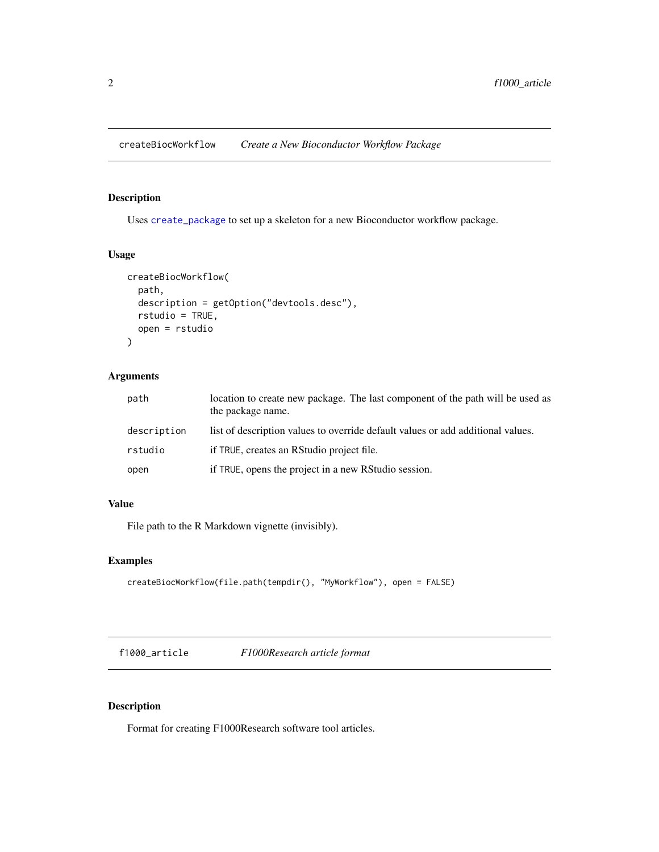<span id="page-1-0"></span>createBiocWorkflow *Create a New Bioconductor Workflow Package*

#### Description

Uses [create\\_package](#page-0-0) to set up a skeleton for a new Bioconductor workflow package.

#### Usage

```
createBiocWorkflow(
 path,
  description = getOption("devtools.desc"),
 rstudio = TRUE,
 open = rstudio
)
```
#### Arguments

| path        | location to create new package. The last component of the path will be used as<br>the package name. |
|-------------|-----------------------------------------------------------------------------------------------------|
| description | list of description values to override default values or add additional values.                     |
| rstudio     | if TRUE, creates an RStudio project file.                                                           |
| open        | if TRUE, opens the project in a new RStudio session.                                                |

#### Value

File path to the R Markdown vignette (invisibly).

#### Examples

```
createBiocWorkflow(file.path(tempdir(), "MyWorkflow"), open = FALSE)
```
f1000\_article *F1000Research article format*

#### Description

Format for creating F1000Research software tool articles.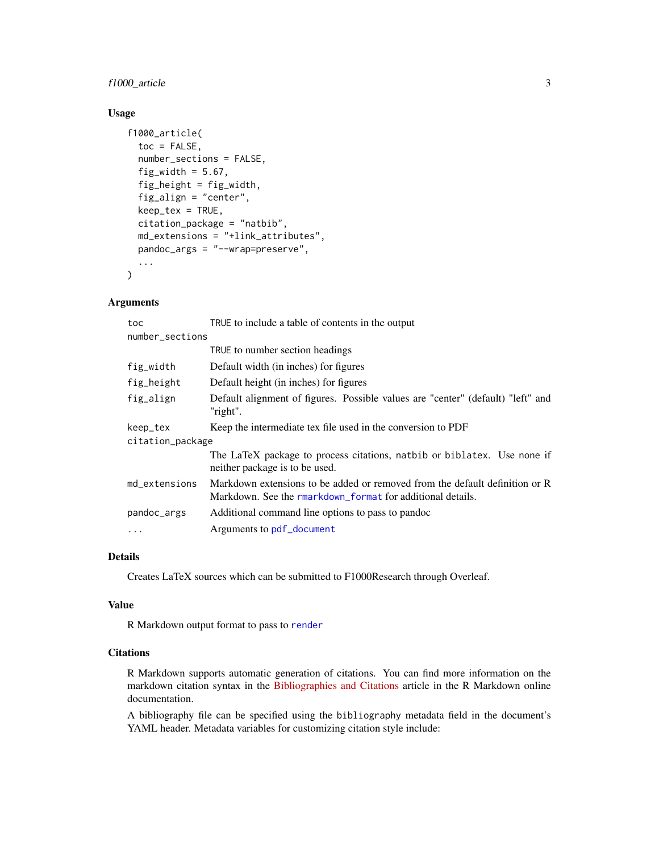#### <span id="page-2-0"></span>f1000\_article 3

#### Usage

```
f1000_article(
  toc = FALSE,number_sections = FALSE,
  fig\_width = 5.67,fig_height = fig_width,
  fig_align = "center",
  keep\_tex = TRUE,citation_package = "natbib",
  md_extensions = "+link_attributes",
  pandoc_args = "--wrap=preserve",
  ...
)
```
#### Arguments

| TRUE to include a table of contents in the output                                                                                         |
|-------------------------------------------------------------------------------------------------------------------------------------------|
| number_sections                                                                                                                           |
| TRUE to number section headings                                                                                                           |
| Default width (in inches) for figures                                                                                                     |
| Default height (in inches) for figures                                                                                                    |
| Default alignment of figures. Possible values are "center" (default) "left" and<br>"right".                                               |
| Keep the intermediate tex file used in the conversion to PDF                                                                              |
| citation_package                                                                                                                          |
| The LaTeX package to process citations, natbib or biblatex. Use none if<br>neither package is to be used.                                 |
| Markdown extensions to be added or removed from the default definition or R<br>Markdown. See the rmarkdown format for additional details. |
| Additional command line options to pass to pandoc                                                                                         |
| Arguments to pdf_document                                                                                                                 |
|                                                                                                                                           |

#### Details

Creates LaTeX sources which can be submitted to F1000Research through Overleaf.

#### Value

R Markdown output format to pass to [render](#page-0-0)

#### **Citations**

R Markdown supports automatic generation of citations. You can find more information on the markdown citation syntax in the [Bibliographies and Citations](http://rmarkdown.rstudio.com/authoring_bibliographies_and_citations.html) article in the R Markdown online documentation.

A bibliography file can be specified using the bibliography metadata field in the document's YAML header. Metadata variables for customizing citation style include: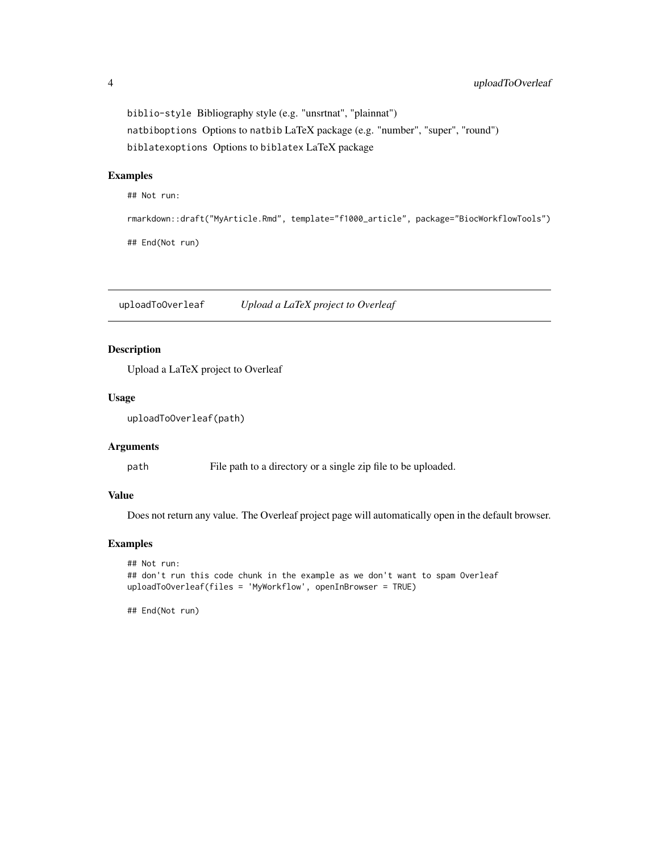biblio-style Bibliography style (e.g. "unsrtnat", "plainnat") natbiboptions Options to natbib LaTeX package (e.g. "number", "super", "round") biblatexoptions Options to biblatex LaTeX package

#### Examples

## Not run:

```
rmarkdown::draft("MyArticle.Rmd", template="f1000_article", package="BiocWorkflowTools")
## End(Not run)
```
uploadToOverleaf *Upload a LaTeX project to Overleaf*

#### Description

Upload a LaTeX project to Overleaf

#### Usage

uploadToOverleaf(path)

#### Arguments

path File path to a directory or a single zip file to be uploaded.

#### Value

Does not return any value. The Overleaf project page will automatically open in the default browser.

#### Examples

```
## Not run:
## don't run this code chunk in the example as we don't want to spam Overleaf
uploadToOverleaf(files = 'MyWorkflow', openInBrowser = TRUE)
```
## End(Not run)

<span id="page-3-0"></span>